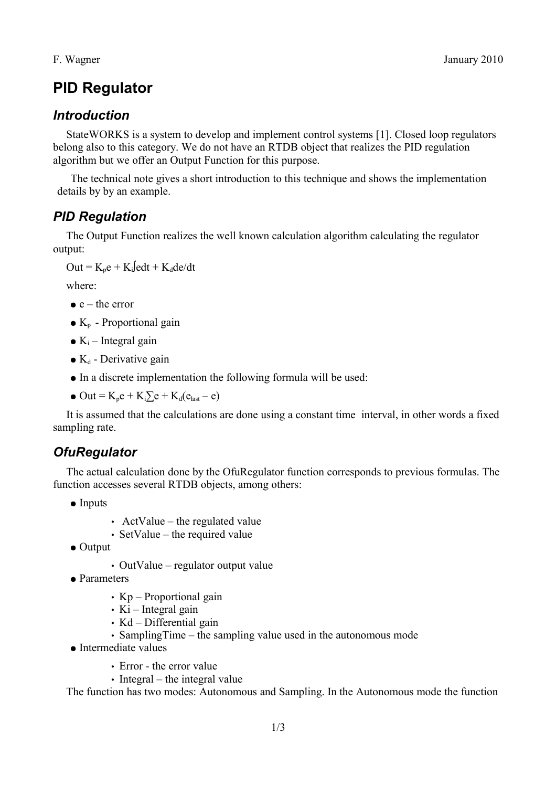# **PID Regulator**

### *Introduction*

StateWORKS is a system to develop and implement control systems [1]. Closed loop regulators belong also to this category. We do not have an RTDB object that realizes the PID regulation algorithm but we offer an Output Function for this purpose.

The technical note gives a short introduction to this technique and shows the implementation details by by an example.

### *PID Regulation*

The Output Function realizes the well known calculation algorithm calculating the regulator output:

 $Out = K_p e + K_i \int e dt + K_d \int e^{\lambda} dt$ 

where:

- $\bullet$  e the error
- $\bullet$  K<sub>p</sub> Proportional gain
- $K_i$  Integral gain
- $\bullet$  K<sub>d</sub> Derivative gain
- In a discrete implementation the following formula will be used:
- $\bullet$  Out = K<sub>n</sub>e + K<sub>i</sub> $\sum e + K_d(e_{\text{last}} e)$

It is assumed that the calculations are done using a constant time interval, in other words a fixed sampling rate.

## *OfuRegulator*

The actual calculation done by the OfuRegulator function corresponds to previous formulas. The function accesses several RTDB objects, among others:

- Inputs
- ActValue the regulated value
- SetValue the required value
- Output
	- OutValue regulator output value
- Parameters
	- Kp Proportional gain
	- $Ki$  Integral gain
	- Kd Differential gain
	- SamplingTime the sampling value used in the autonomous mode
- Intermediate values
	- Error the error value
	- Integral the integral value

The function has two modes: Autonomous and Sampling. In the Autonomous mode the function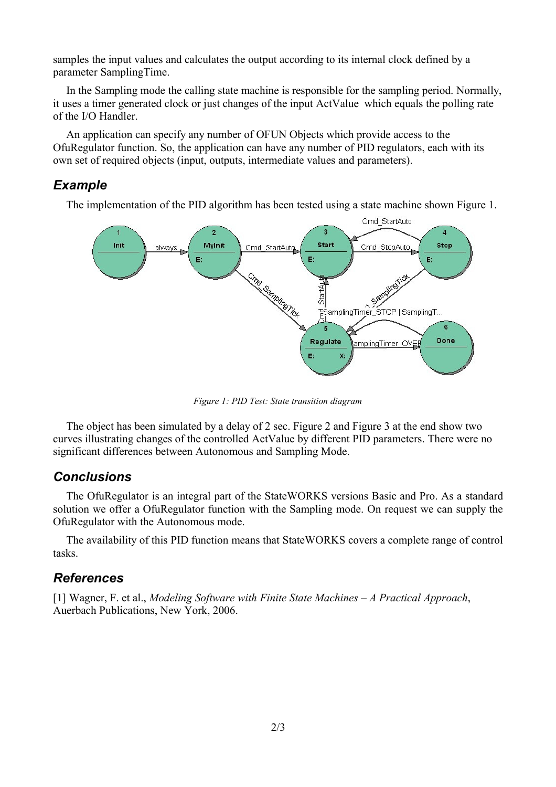samples the input values and calculates the output according to its internal clock defined by a parameter SamplingTime.

In the Sampling mode the calling state machine is responsible for the sampling period. Normally, it uses a timer generated clock or just changes of the input ActValue which equals the polling rate of the I/O Handler.

An application can specify any number of OFUN Objects which provide access to the OfuRegulator function. So, the application can have any number of PID regulators, each with its own set of required objects (input, outputs, intermediate values and parameters).

#### *Example*

The implementation of the PID algorithm has been tested using a state machine shown [Figure 1.](#page-1-0)



<span id="page-1-0"></span>*Figure 1: PID Test: State transition diagram*

The object has been simulated by a delay of 2 sec. [Figure 2](#page-2-1) and [Figure 3](#page-2-0) at the end show two curves illustrating changes of the controlled ActValue by different PID parameters. There were no significant differences between Autonomous and Sampling Mode.

#### *Conclusions*

The OfuRegulator is an integral part of the StateWORKS versions Basic and Pro. As a standard solution we offer a OfuRegulator function with the Sampling mode. On request we can supply the OfuRegulator with the Autonomous mode.

The availability of this PID function means that StateWORKS covers a complete range of control tasks.

#### *References*

[1] Wagner, F. et al., *Modeling Software with Finite State Machines – A Practical Approach*, Auerbach Publications, New York, 2006.